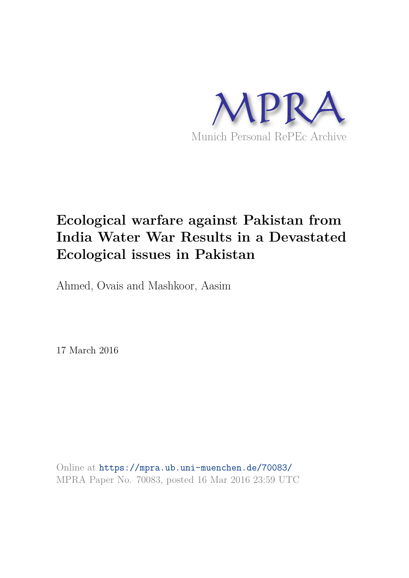

## **Ecological warfare against Pakistan from India Water War Results in a Devastated Ecological issues in Pakistan**

Ahmed, Ovais and Mashkoor, Aasim

17 March 2016

Online at https://mpra.ub.uni-muenchen.de/70083/ MPRA Paper No. 70083, posted 16 Mar 2016 23:59 UTC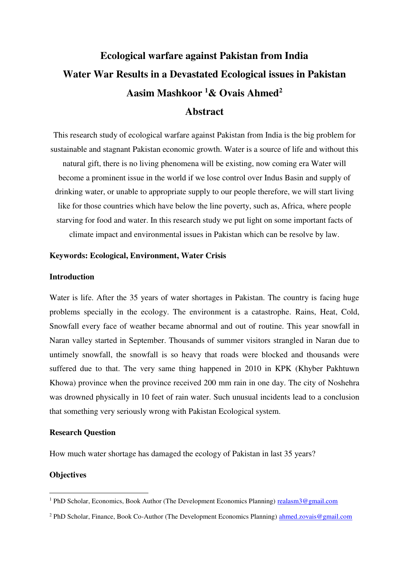# **Ecological warfare against Pakistan from India Water War Results in a Devastated Ecological issues in Pakistan Aasim Mashkoor <sup>1</sup>& Ovais Ahmed<sup>2</sup>**

### **Abstract**

This research study of ecological warfare against Pakistan from India is the big problem for sustainable and stagnant Pakistan economic growth. Water is a source of life and without this natural gift, there is no living phenomena will be existing, now coming era Water will become a prominent issue in the world if we lose control over Indus Basin and supply of drinking water, or unable to appropriate supply to our people therefore, we will start living like for those countries which have below the line poverty, such as, Africa, where people starving for food and water. In this research study we put light on some important facts of climate impact and environmental issues in Pakistan which can be resolve by law.

#### **Keywords: Ecological, Environment, Water Crisis**

#### **Introduction**

Water is life. After the 35 years of water shortages in Pakistan. The country is facing huge problems specially in the ecology. The environment is a catastrophe. Rains, Heat, Cold, Snowfall every face of weather became abnormal and out of routine. This year snowfall in Naran valley started in September. Thousands of summer visitors strangled in Naran due to untimely snowfall, the snowfall is so heavy that roads were blocked and thousands were suffered due to that. The very same thing happened in 2010 in KPK (Khyber Pakhtuwn Khowa) province when the province received 200 mm rain in one day. The city of Noshehra was drowned physically in 10 feet of rain water. Such unusual incidents lead to a conclusion that something very seriously wrong with Pakistan Ecological system.

#### **Research Question**

How much water shortage has damaged the ecology of Pakistan in last 35 years?

#### **Objectives**

-

<sup>&</sup>lt;sup>1</sup> PhD Scholar, Economics, Book Author (The Development Economics Planning) [realasm3@gmail.com](mailto:realasm3@gmail.com)

<sup>&</sup>lt;sup>2</sup> PhD Scholar, Finance, Book Co-Author (The Development Economics Planning) [ahmed.zovais@gmail.com](mailto:ahmed.zovais@gmail.com)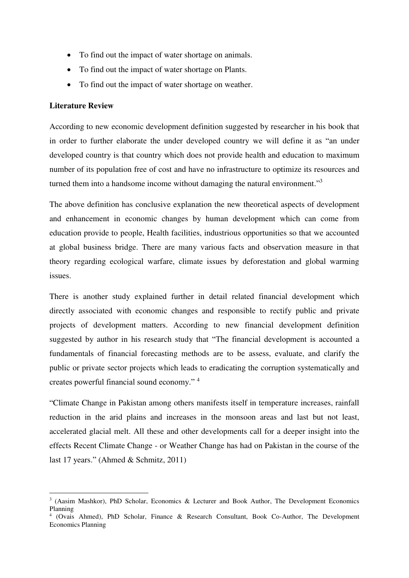- To find out the impact of water shortage on animals.
- To find out the impact of water shortage on Plants.
- To find out the impact of water shortage on weather.

#### **Literature Review**

According to new economic development definition suggested by researcher in his book that in order to further elaborate the under developed country we will define it as "an under developed country is that country which does not provide health and education to maximum number of its population free of cost and have no infrastructure to optimize its resources and turned them into a handsome income without damaging the natural environment."<sup>3</sup>

The above definition has conclusive explanation the new theoretical aspects of development and enhancement in economic changes by human development which can come from education provide to people, Health facilities, industrious opportunities so that we accounted at global business bridge. There are many various facts and observation measure in that theory regarding ecological warfare, climate issues by deforestation and global warming issues.

There is another study explained further in detail related financial development which directly associated with economic changes and responsible to rectify public and private projects of development matters. According to new financial development definition suggested by author in his research study that "The financial development is accounted a fundamentals of financial forecasting methods are to be assess, evaluate, and clarify the public or private sector projects which leads to eradicating the corruption systematically and creates powerful financial sound economy." <sup>4</sup>

"Climate Change in Pakistan among others manifests itself in temperature increases, rainfall reduction in the arid plains and increases in the monsoon areas and last but not least, accelerated glacial melt. All these and other developments call for a deeper insight into the effects Recent Climate Change - or Weather Change has had on Pakistan in the course of the last 17 years." (Ahmed & Schmitz, 2011)

<sup>-</sup><sup>3</sup> (Aasim Mashkor), PhD Scholar, Economics & Lecturer and Book Author, The Development Economics Planning

<sup>4</sup> (Ovais Ahmed), PhD Scholar, Finance & Research Consultant, Book Co-Author, The Development Economics Planning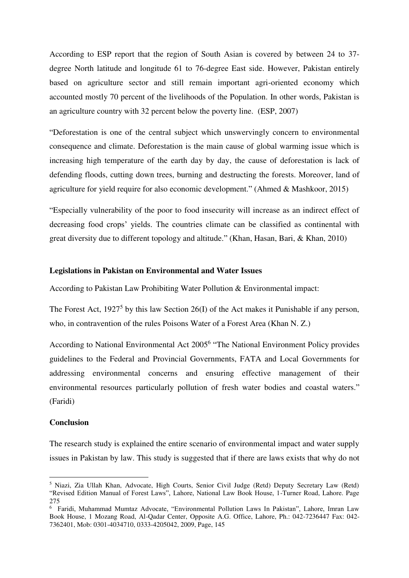According to ESP report that the region of South Asian is covered by between 24 to 37 degree North latitude and longitude 61 to 76-degree East side. However, Pakistan entirely based on agriculture sector and still remain important agri-oriented economy which accounted mostly 70 percent of the livelihoods of the Population. In other words, Pakistan is an agriculture country with 32 percent below the poverty line. (ESP, 2007)

"Deforestation is one of the central subject which unswervingly concern to environmental consequence and climate. Deforestation is the main cause of global warming issue which is increasing high temperature of the earth day by day, the cause of deforestation is lack of defending floods, cutting down trees, burning and destructing the forests. Moreover, land of agriculture for yield require for also economic development." (Ahmed & Mashkoor, 2015)

"Especially vulnerability of the poor to food insecurity will increase as an indirect effect of decreasing food crops' yields. The countries climate can be classified as continental with great diversity due to different topology and altitude." (Khan, Hasan, Bari, & Khan, 2010)

#### **Legislations in Pakistan on Environmental and Water Issues**

According to Pakistan Law Prohibiting Water Pollution & Environmental impact:

The Forest Act,  $1927<sup>5</sup>$  by this law Section 26(I) of the Act makes it Punishable if any person, who, in contravention of the rules Poisons Water of a Forest Area (Khan N. Z.)

According to National Environmental Act 2005<sup>6</sup> "The National Environment Policy provides guidelines to the Federal and Provincial Governments, FATA and Local Governments for addressing environmental concerns and ensuring effective management of their environmental resources particularly pollution of fresh water bodies and coastal waters." (Faridi)

#### **Conclusion**

<u>.</u>

The research study is explained the entire scenario of environmental impact and water supply issues in Pakistan by law. This study is suggested that if there are laws exists that why do not

<sup>&</sup>lt;sup>5</sup> Niazi, Zia Ullah Khan, Advocate, High Courts, Senior Civil Judge (Retd) Deputy Secretary Law (Retd) "Revised Edition Manual of Forest Laws", Lahore, National Law Book House, 1-Turner Road, Lahore. Page 275

<sup>6</sup> Faridi, Muhammad Mumtaz Advocate, "Environmental Pollution Laws In Pakistan", Lahore, Imran Law Book House, 1 Mozang Road, Al-Qadar Center, Opposite A.G. Office, Lahore, Ph.: 042-7236447 Fax: 042- 7362401, Mob: 0301-4034710, 0333-4205042, 2009, Page, 145